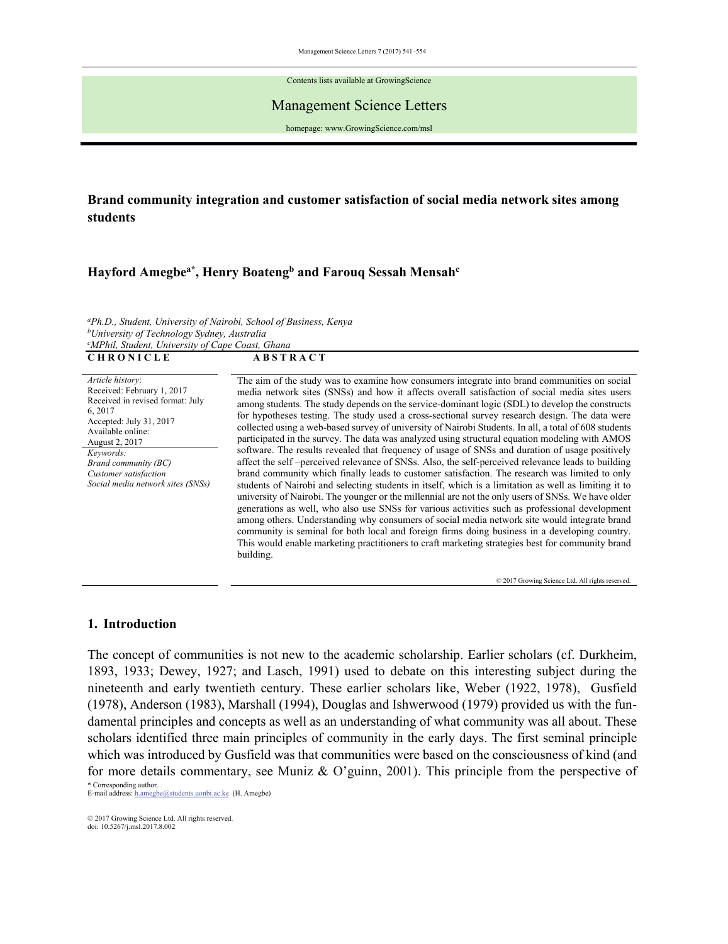Management Science Letters 7 (2017) 541–554

Contents lists available at GrowingScience

#### Management Science Letters

homepage: www.GrowingScience.com/msl

# **Brand community integration and customer satisfaction of social media network sites among students**

### **Hayford Amegbea\*, Henry Boatengb and Farouq Sessah Mensahc**

*aPh.D., Student, University of Nairobi, School of Business, Kenya b University of Technology Sydney, Australia c MPhil, Student, University of Cape Coast, Ghana*  **CHRONICLE** ABSTRACT

*Article history*: Received: February 1, 2017 Received in revised format: July 6, 2017 Accepted: July 31, 2017 Available online: August 2, 2017 *Keywords: Brand community (BC) Customer satisfaction Social media network sites (SNSs)* 

The aim of the study was to examine how consumers integrate into brand communities on social media network sites (SNSs) and how it affects overall satisfaction of social media sites users among students. The study depends on the service-dominant logic (SDL) to develop the constructs for hypotheses testing. The study used a cross-sectional survey research design. The data were collected using a web-based survey of university of Nairobi Students. In all, a total of 608 students participated in the survey. The data was analyzed using structural equation modeling with AMOS software. The results revealed that frequency of usage of SNSs and duration of usage positively affect the self –perceived relevance of SNSs. Also, the self-perceived relevance leads to building brand community which finally leads to customer satisfaction. The research was limited to only students of Nairobi and selecting students in itself, which is a limitation as well as limiting it to university of Nairobi. The younger or the millennial are not the only users of SNSs. We have older generations as well, who also use SNSs for various activities such as professional development among others. Understanding why consumers of social media network site would integrate brand community is seminal for both local and foreign firms doing business in a developing country. This would enable marketing practitioners to craft marketing strategies best for community brand building.

© 2017 Growing Science Ltd. All rights reserved.

#### **1. Introduction**

\* Corresponding author. The concept of communities is not new to the academic scholarship. Earlier scholars (cf. Durkheim, 1893, 1933; Dewey, 1927; and Lasch, 1991) used to debate on this interesting subject during the nineteenth and early twentieth century. These earlier scholars like, Weber (1922, 1978), Gusfield (1978), Anderson (1983), Marshall (1994), Douglas and Ishwerwood (1979) provided us with the fundamental principles and concepts as well as an understanding of what community was all about. These scholars identified three main principles of community in the early days. The first seminal principle which was introduced by Gusfield was that communities were based on the consciousness of kind (and for more details commentary, see Muniz & O'guinn, 2001). This principle from the perspective of

E-mail address: h.amegbe@students.uonbi.ac.ke (H. Amegbe)

© 2017 Growing Science Ltd. All rights reserved. doi: 10.5267/j.msl.2017.8.002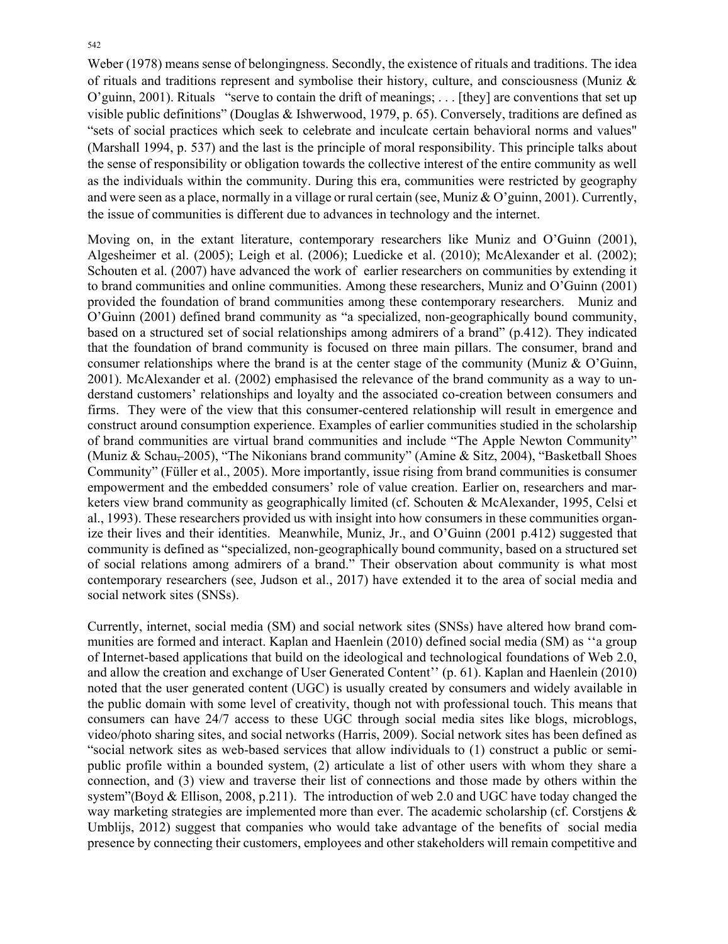542

Weber (1978) means sense of belongingness. Secondly, the existence of rituals and traditions. The idea of rituals and traditions represent and symbolise their history, culture, and consciousness (Muniz & O'guinn, 2001). Rituals "serve to contain the drift of meanings; . . . [they] are conventions that set up visible public definitions" (Douglas & Ishwerwood, 1979, p. 65). Conversely, traditions are defined as "sets of social practices which seek to celebrate and inculcate certain behavioral norms and values" (Marshall 1994, p. 537) and the last is the principle of moral responsibility. This principle talks about the sense of responsibility or obligation towards the collective interest of the entire community as well as the individuals within the community. During this era, communities were restricted by geography and were seen as a place, normally in a village or rural certain (see, Muniz & O'guinn, 2001). Currently, the issue of communities is different due to advances in technology and the internet.

Moving on, in the extant literature, contemporary researchers like Muniz and O'Guinn (2001), Algesheimer et al. (2005); Leigh et al. (2006); Luedicke et al. (2010); McAlexander et al. (2002); Schouten et al. (2007) have advanced the work of earlier researchers on communities by extending it to brand communities and online communities. Among these researchers, Muniz and O'Guinn (2001) provided the foundation of brand communities among these contemporary researchers. Muniz and O'Guinn (2001) defined brand community as "a specialized, non-geographically bound community, based on a structured set of social relationships among admirers of a brand" (p.412). They indicated that the foundation of brand community is focused on three main pillars. The consumer, brand and consumer relationships where the brand is at the center stage of the community (Muniz  $\&$  O'Guinn, 2001). McAlexander et al. (2002) emphasised the relevance of the brand community as a way to understand customers' relationships and loyalty and the associated co-creation between consumers and firms. They were of the view that this consumer-centered relationship will result in emergence and construct around consumption experience. Examples of earlier communities studied in the scholarship of brand communities are virtual brand communities and include "The Apple Newton Community" (Muniz & Schau,  $-2005$ ), "The Nikonians brand community" (Amine & Sitz, 2004), "Basketball Shoes Community" (Füller et al., 2005). More importantly, issue rising from brand communities is consumer empowerment and the embedded consumers' role of value creation. Earlier on, researchers and marketers view brand community as geographically limited (cf. Schouten & McAlexander, 1995, Celsi et al., 1993). These researchers provided us with insight into how consumers in these communities organize their lives and their identities. Meanwhile, Muniz, Jr., and O'Guinn (2001 p.412) suggested that community is defined as "specialized, non-geographically bound community, based on a structured set of social relations among admirers of a brand." Their observation about community is what most contemporary researchers (see, Judson et al., 2017) have extended it to the area of social media and social network sites (SNSs).

Currently, internet, social media (SM) and social network sites (SNSs) have altered how brand communities are formed and interact. Kaplan and Haenlein (2010) defined social media (SM) as ''a group of Internet-based applications that build on the ideological and technological foundations of Web 2.0, and allow the creation and exchange of User Generated Content'' (p. 61). Kaplan and Haenlein (2010) noted that the user generated content (UGC) is usually created by consumers and widely available in the public domain with some level of creativity, though not with professional touch. This means that consumers can have 24/7 access to these UGC through social media sites like blogs, microblogs, video/photo sharing sites, and social networks (Harris, 2009). Social network sites has been defined as "social network sites as web-based services that allow individuals to (1) construct a public or semipublic profile within a bounded system, (2) articulate a list of other users with whom they share a connection, and (3) view and traverse their list of connections and those made by others within the system"(Boyd & Ellison, 2008, p.211). The introduction of web 2.0 and UGC have today changed the way marketing strategies are implemented more than ever. The academic scholarship (cf. Corstiens  $\&$ Umblijs, 2012) suggest that companies who would take advantage of the benefits of social media presence by connecting their customers, employees and other stakeholders will remain competitive and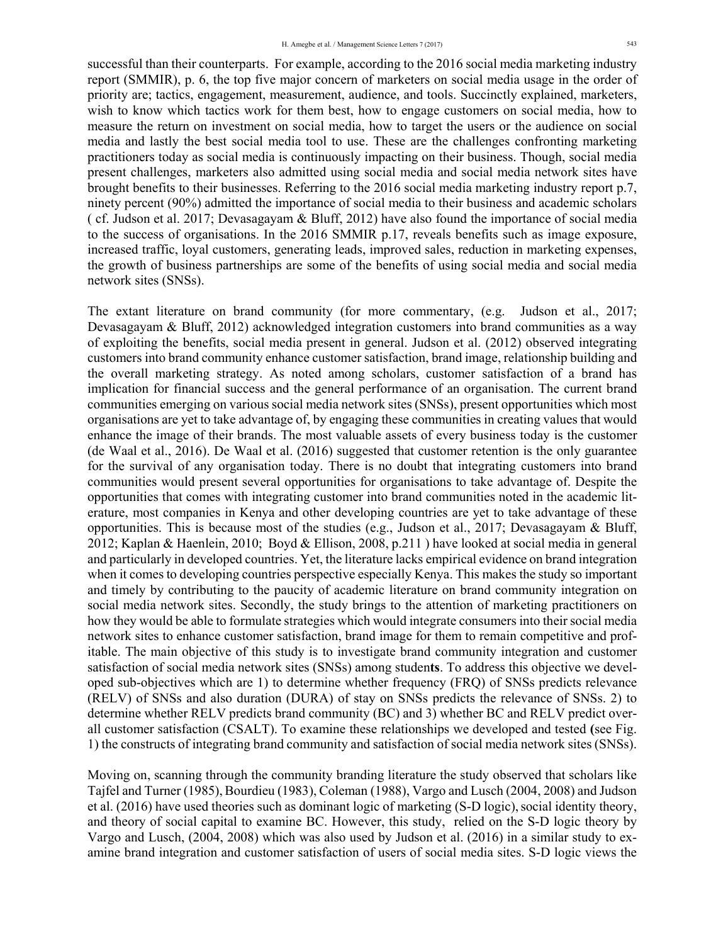successful than their counterparts. For example, according to the 2016 social media marketing industry report (SMMIR), p. 6, the top five major concern of marketers on social media usage in the order of priority are; tactics, engagement, measurement, audience, and tools. Succinctly explained, marketers, wish to know which tactics work for them best, how to engage customers on social media, how to measure the return on investment on social media, how to target the users or the audience on social media and lastly the best social media tool to use. These are the challenges confronting marketing practitioners today as social media is continuously impacting on their business. Though, social media present challenges, marketers also admitted using social media and social media network sites have brought benefits to their businesses. Referring to the 2016 social media marketing industry report p.7, ninety percent (90%) admitted the importance of social media to their business and academic scholars ( cf. Judson et al. 2017; Devasagayam & Bluff, 2012) have also found the importance of social media to the success of organisations. In the 2016 SMMIR p.17, reveals benefits such as image exposure, increased traffic, loyal customers, generating leads, improved sales, reduction in marketing expenses, the growth of business partnerships are some of the benefits of using social media and social media network sites (SNSs).

The extant literature on brand community (for more commentary, (e.g. Judson et al., 2017; Devasagayam & Bluff, 2012) acknowledged integration customers into brand communities as a way of exploiting the benefits, social media present in general. Judson et al. (2012) observed integrating customers into brand community enhance customer satisfaction, brand image, relationship building and the overall marketing strategy. As noted among scholars, customer satisfaction of a brand has implication for financial success and the general performance of an organisation. The current brand communities emerging on various social media network sites (SNSs), present opportunities which most organisations are yet to take advantage of, by engaging these communities in creating values that would enhance the image of their brands. The most valuable assets of every business today is the customer (de Waal et al., 2016). De Waal et al. (2016) suggested that customer retention is the only guarantee for the survival of any organisation today. There is no doubt that integrating customers into brand communities would present several opportunities for organisations to take advantage of. Despite the opportunities that comes with integrating customer into brand communities noted in the academic literature, most companies in Kenya and other developing countries are yet to take advantage of these opportunities. This is because most of the studies (e.g., Judson et al., 2017; Devasagayam & Bluff, 2012; Kaplan & Haenlein, 2010; Boyd & Ellison, 2008, p.211 ) have looked at social media in general and particularly in developed countries. Yet, the literature lacks empirical evidence on brand integration when it comes to developing countries perspective especially Kenya. This makes the study so important and timely by contributing to the paucity of academic literature on brand community integration on social media network sites. Secondly, the study brings to the attention of marketing practitioners on how they would be able to formulate strategies which would integrate consumers into their social media network sites to enhance customer satisfaction, brand image for them to remain competitive and profitable. The main objective of this study is to investigate brand community integration and customer satisfaction of social media network sites (SNSs) among studen**ts**. To address this objective we developed sub-objectives which are 1) to determine whether frequency (FRQ) of SNSs predicts relevance (RELV) of SNSs and also duration (DURA) of stay on SNSs predicts the relevance of SNSs. 2) to determine whether RELV predicts brand community (BC) and 3) whether BC and RELV predict overall customer satisfaction (CSALT). To examine these relationships we developed and tested **(**see Fig. 1) the constructs of integrating brand community and satisfaction of social media network sites (SNSs).

Moving on, scanning through the community branding literature the study observed that scholars like Tajfel and Turner (1985),Bourdieu (1983), Coleman (1988), Vargo and Lusch (2004, 2008) and Judson et al. (2016) have used theories such as dominant logic of marketing (S-D logic),social identity theory, and theory of social capital to examine BC. However, this study, relied on the S-D logic theory by Vargo and Lusch, (2004, 2008) which was also used by Judson et al. (2016) in a similar study to examine brand integration and customer satisfaction of users of social media sites. S-D logic views the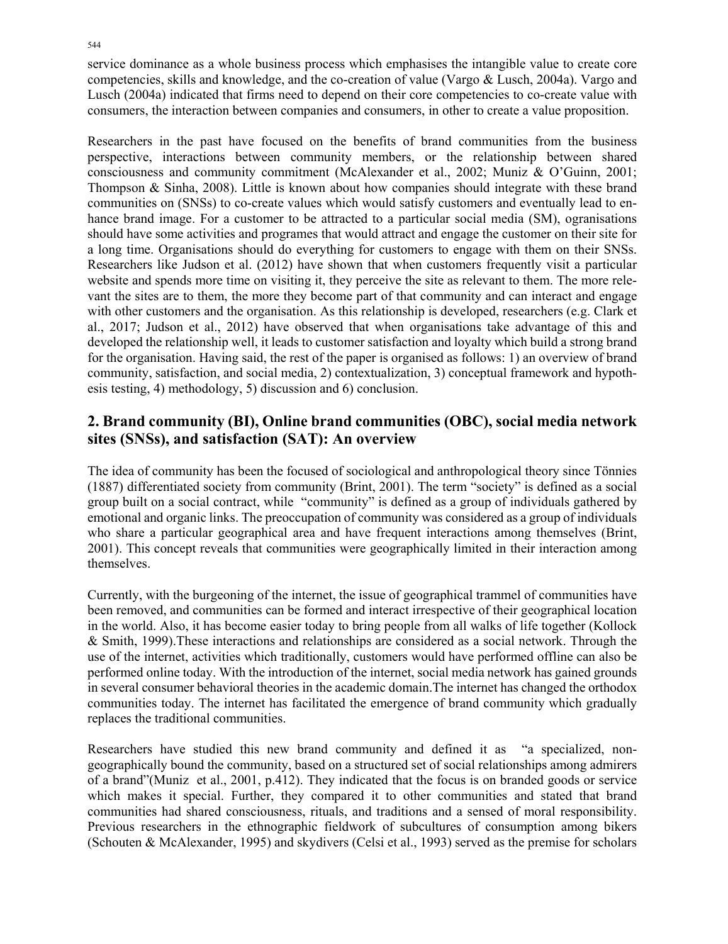service dominance as a whole business process which emphasises the intangible value to create core competencies, skills and knowledge, and the co-creation of value (Vargo & Lusch, 2004a). Vargo and Lusch (2004a) indicated that firms need to depend on their core competencies to co-create value with consumers, the interaction between companies and consumers, in other to create a value proposition.

Researchers in the past have focused on the benefits of brand communities from the business perspective, interactions between community members, or the relationship between shared consciousness and community commitment (McAlexander et al., 2002; Muniz & O'Guinn, 2001; Thompson & Sinha, 2008). Little is known about how companies should integrate with these brand communities on (SNSs) to co-create values which would satisfy customers and eventually lead to enhance brand image. For a customer to be attracted to a particular social media (SM), ogranisations should have some activities and programes that would attract and engage the customer on their site for a long time. Organisations should do everything for customers to engage with them on their SNSs. Researchers like Judson et al. (2012) have shown that when customers frequently visit a particular website and spends more time on visiting it, they perceive the site as relevant to them. The more relevant the sites are to them, the more they become part of that community and can interact and engage with other customers and the organisation. As this relationship is developed, researchers (e.g. Clark et al., 2017; Judson et al., 2012) have observed that when organisations take advantage of this and developed the relationship well, it leads to customer satisfaction and loyalty which build a strong brand for the organisation. Having said, the rest of the paper is organised as follows: 1) an overview of brand community, satisfaction, and social media, 2) contextualization, 3) conceptual framework and hypothesis testing, 4) methodology, 5) discussion and 6) conclusion.

# **2. Brand community (BI), Online brand communities (OBC), social media network sites (SNSs), and satisfaction (SAT): An overview**

The idea of community has been the focused of sociological and anthropological theory since Tönnies (1887) differentiated society from community (Brint, 2001). The term "society" is defined as a social group built on a social contract, while "community" is defined as a group of individuals gathered by emotional and organic links. The preoccupation of community was considered as a group of individuals who share a particular geographical area and have frequent interactions among themselves (Brint, 2001). This concept reveals that communities were geographically limited in their interaction among themselves.

Currently, with the burgeoning of the internet, the issue of geographical trammel of communities have been removed, and communities can be formed and interact irrespective of their geographical location in the world. Also, it has become easier today to bring people from all walks of life together (Kollock & Smith, 1999).These interactions and relationships are considered as a social network. Through the use of the internet, activities which traditionally, customers would have performed offline can also be performed online today. With the introduction of the internet, social media network has gained grounds in several consumer behavioral theories in the academic domain.The internet has changed the orthodox communities today. The internet has facilitated the emergence of brand community which gradually replaces the traditional communities.

Researchers have studied this new brand community and defined it as "a specialized, nongeographically bound the community, based on a structured set of social relationships among admirers of a brand"(Muniz et al., 2001, p.412). They indicated that the focus is on branded goods or service which makes it special. Further, they compared it to other communities and stated that brand communities had shared consciousness, rituals, and traditions and a sensed of moral responsibility. Previous researchers in the ethnographic fieldwork of subcultures of consumption among bikers (Schouten & McAlexander, 1995) and skydivers (Celsi et al., 1993) served as the premise for scholars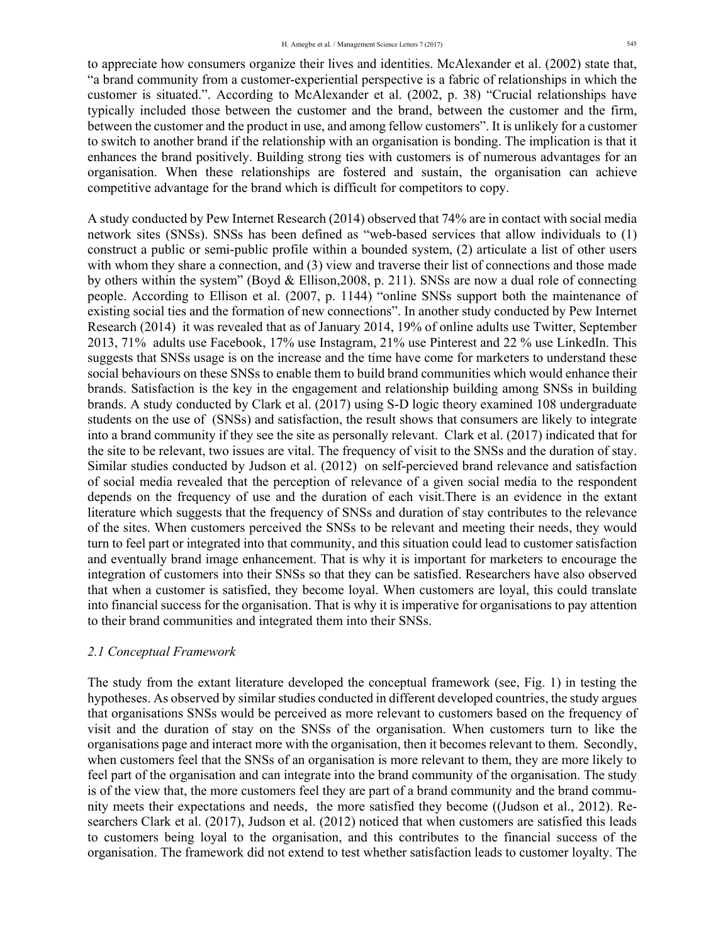to appreciate how consumers organize their lives and identities. McAlexander et al. (2002) state that, "a brand community from a customer-experiential perspective is a fabric of relationships in which the customer is situated.". According to McAlexander et al. (2002, p. 38) "Crucial relationships have typically included those between the customer and the brand, between the customer and the firm, between the customer and the product in use, and among fellow customers". It is unlikely for a customer to switch to another brand if the relationship with an organisation is bonding. The implication is that it enhances the brand positively. Building strong ties with customers is of numerous advantages for an organisation. When these relationships are fostered and sustain, the organisation can achieve competitive advantage for the brand which is difficult for competitors to copy.

A study conducted by Pew Internet Research (2014) observed that 74% are in contact with social media network sites (SNSs). SNSs has been defined as "web-based services that allow individuals to (1) construct a public or semi-public profile within a bounded system, (2) articulate a list of other users with whom they share a connection, and (3) view and traverse their list of connections and those made by others within the system" (Boyd & Ellison,2008, p. 211). SNSs are now a dual role of connecting people. According to Ellison et al. (2007, p. 1144) "online SNSs support both the maintenance of existing social ties and the formation of new connections". In another study conducted by Pew Internet Research (2014) it was revealed that as of January 2014, 19% of online adults use Twitter, September 2013, 71% adults use Facebook, 17% use Instagram, 21% use Pinterest and 22 % use LinkedIn. This suggests that SNSs usage is on the increase and the time have come for marketers to understand these social behaviours on these SNSs to enable them to build brand communities which would enhance their brands. Satisfaction is the key in the engagement and relationship building among SNSs in building brands. A study conducted by Clark et al. (2017) using S-D logic theory examined 108 undergraduate students on the use of (SNSs) and satisfaction, the result shows that consumers are likely to integrate into a brand community if they see the site as personally relevant. Clark et al. (2017) indicated that for the site to be relevant, two issues are vital. The frequency of visit to the SNSs and the duration of stay. Similar studies conducted by Judson et al. (2012) on self-percieved brand relevance and satisfaction of social media revealed that the perception of relevance of a given social media to the respondent depends on the frequency of use and the duration of each visit.There is an evidence in the extant literature which suggests that the frequency of SNSs and duration of stay contributes to the relevance of the sites. When customers perceived the SNSs to be relevant and meeting their needs, they would turn to feel part or integrated into that community, and this situation could lead to customer satisfaction and eventually brand image enhancement. That is why it is important for marketers to encourage the integration of customers into their SNSs so that they can be satisfied. Researchers have also observed that when a customer is satisfied, they become loyal. When customers are loyal, this could translate into financial success for the organisation. That is why it is imperative for organisations to pay attention to their brand communities and integrated them into their SNSs.

#### *2.1 Conceptual Framework*

The study from the extant literature developed the conceptual framework (see, Fig. 1) in testing the hypotheses. As observed by similar studies conducted in different developed countries, the study argues that organisations SNSs would be perceived as more relevant to customers based on the frequency of visit and the duration of stay on the SNSs of the organisation. When customers turn to like the organisations page and interact more with the organisation, then it becomes relevant to them. Secondly, when customers feel that the SNSs of an organisation is more relevant to them, they are more likely to feel part of the organisation and can integrate into the brand community of the organisation. The study is of the view that, the more customers feel they are part of a brand community and the brand community meets their expectations and needs, the more satisfied they become ((Judson et al., 2012). Researchers Clark et al. (2017), Judson et al. (2012) noticed that when customers are satisfied this leads to customers being loyal to the organisation, and this contributes to the financial success of the organisation. The framework did not extend to test whether satisfaction leads to customer loyalty. The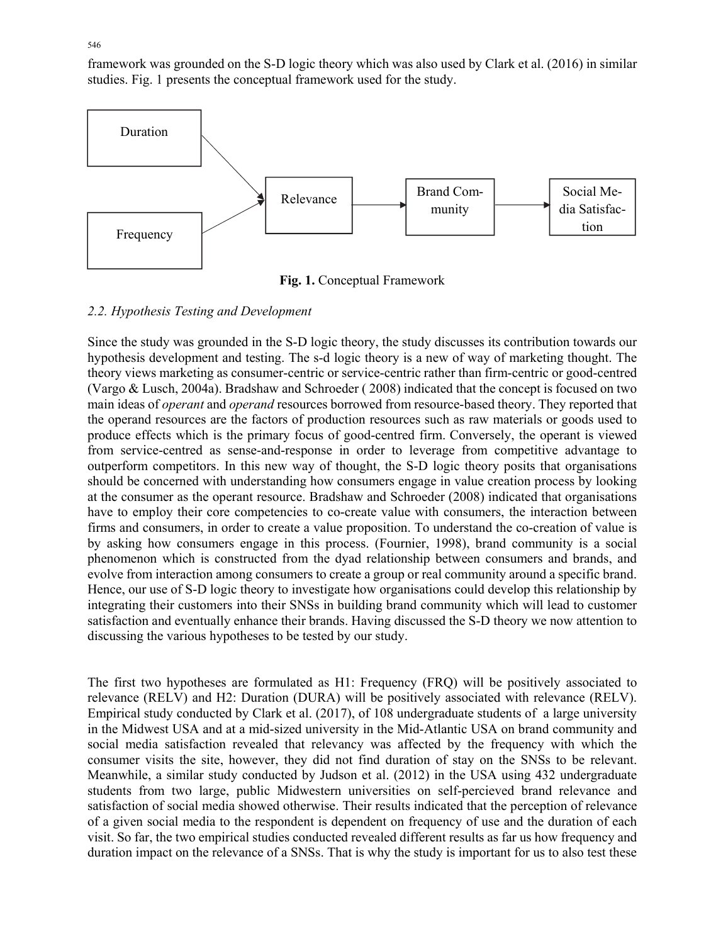framework was grounded on the S-D logic theory which was also used by Clark et al. (2016) in similar studies. Fig. 1 presents the conceptual framework used for the study.



**Fig. 1.** Conceptual Framework

### *2.2. Hypothesis Testing and Development*

Since the study was grounded in the S-D logic theory, the study discusses its contribution towards our hypothesis development and testing. The s-d logic theory is a new of way of marketing thought. The theory views marketing as consumer-centric or service-centric rather than firm-centric or good-centred (Vargo & Lusch, 2004a). Bradshaw and Schroeder ( 2008) indicated that the concept is focused on two main ideas of *operant* and *operand* resources borrowed from resource-based theory. They reported that the operand resources are the factors of production resources such as raw materials or goods used to produce effects which is the primary focus of good-centred firm. Conversely, the operant is viewed from service-centred as sense-and-response in order to leverage from competitive advantage to outperform competitors. In this new way of thought, the S-D logic theory posits that organisations should be concerned with understanding how consumers engage in value creation process by looking at the consumer as the operant resource. Bradshaw and Schroeder (2008) indicated that organisations have to employ their core competencies to co-create value with consumers, the interaction between firms and consumers, in order to create a value proposition. To understand the co-creation of value is by asking how consumers engage in this process. (Fournier, 1998), brand community is a social phenomenon which is constructed from the dyad relationship between consumers and brands, and evolve from interaction among consumers to create a group or real community around a specific brand. Hence, our use of S-D logic theory to investigate how organisations could develop this relationship by integrating their customers into their SNSs in building brand community which will lead to customer satisfaction and eventually enhance their brands. Having discussed the S-D theory we now attention to discussing the various hypotheses to be tested by our study.

The first two hypotheses are formulated as H1: Frequency (FRQ) will be positively associated to relevance (RELV) and H2: Duration (DURA) will be positively associated with relevance (RELV). Empirical study conducted by Clark et al. (2017), of 108 undergraduate students of a large university in the Midwest USA and at a mid-sized university in the Mid-Atlantic USA on brand community and social media satisfaction revealed that relevancy was affected by the frequency with which the consumer visits the site, however, they did not find duration of stay on the SNSs to be relevant. Meanwhile, a similar study conducted by Judson et al. (2012) in the USA using 432 undergraduate students from two large, public Midwestern universities on self-percieved brand relevance and satisfaction of social media showed otherwise. Their results indicated that the perception of relevance of a given social media to the respondent is dependent on frequency of use and the duration of each visit. So far, the two empirical studies conducted revealed different results as far us how frequency and duration impact on the relevance of a SNSs. That is why the study is important for us to also test these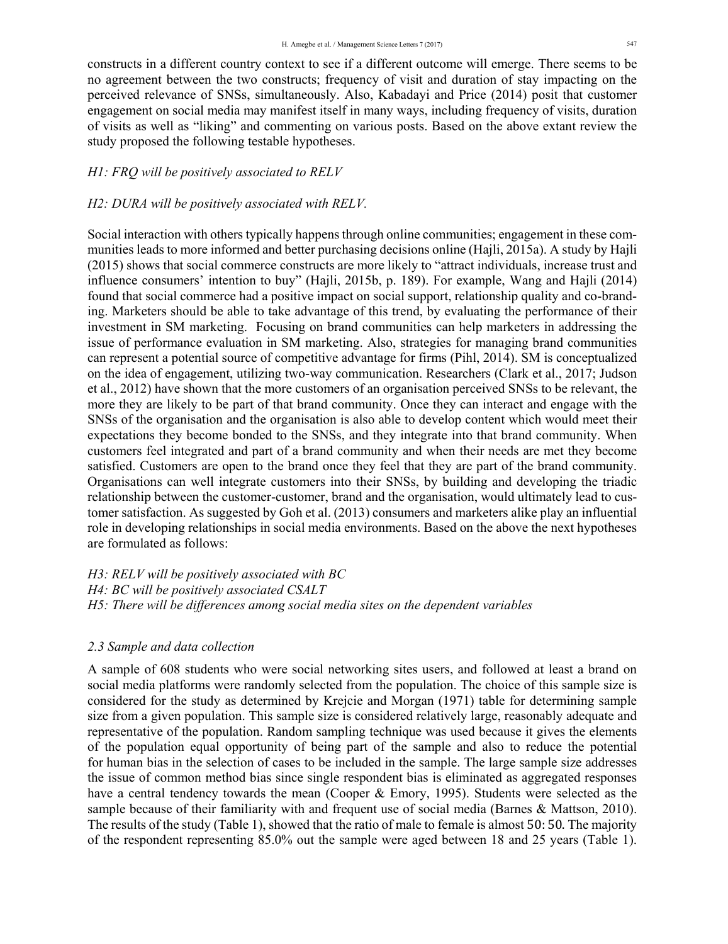constructs in a different country context to see if a different outcome will emerge. There seems to be no agreement between the two constructs; frequency of visit and duration of stay impacting on the perceived relevance of SNSs, simultaneously. Also, Kabadayi and Price (2014) posit that customer engagement on social media may manifest itself in many ways, including frequency of visits, duration of visits as well as "liking" and commenting on various posts. Based on the above extant review the study proposed the following testable hypotheses.

# *H1: FRQ will be positively associated to RELV*

# *H2: DURA will be positively associated with RELV.*

Social interaction with others typically happens through online communities; engagement in these communities leads to more informed and better purchasing decisions online (Hajli, 2015a). A study by Hajli (2015) shows that social commerce constructs are more likely to "attract individuals, increase trust and influence consumers' intention to buy" (Hajli, 2015b, p. 189). For example, Wang and Hajli (2014) found that social commerce had a positive impact on social support, relationship quality and co-branding. Marketers should be able to take advantage of this trend, by evaluating the performance of their investment in SM marketing. Focusing on brand communities can help marketers in addressing the issue of performance evaluation in SM marketing. Also, strategies for managing brand communities can represent a potential source of competitive advantage for firms (Pihl, 2014). SM is conceptualized on the idea of engagement, utilizing two-way communication. Researchers (Clark et al., 2017; Judson et al., 2012) have shown that the more customers of an organisation perceived SNSs to be relevant, the more they are likely to be part of that brand community. Once they can interact and engage with the SNSs of the organisation and the organisation is also able to develop content which would meet their expectations they become bonded to the SNSs, and they integrate into that brand community. When customers feel integrated and part of a brand community and when their needs are met they become satisfied. Customers are open to the brand once they feel that they are part of the brand community. Organisations can well integrate customers into their SNSs, by building and developing the triadic relationship between the customer-customer, brand and the organisation, would ultimately lead to customer satisfaction. As suggested by Goh et al. (2013) consumers and marketers alike play an influential role in developing relationships in social media environments. Based on the above the next hypotheses are formulated as follows:

*H3: RELV will be positively associated with BC H4: BC will be positively associated CSALT H5: There will be differences among social media sites on the dependent variables*

# *2.3 Sample and data collection*

A sample of 608 students who were social networking sites users, and followed at least a brand on social media platforms were randomly selected from the population. The choice of this sample size is considered for the study as determined by Krejcie and Morgan (1971) table for determining sample size from a given population. This sample size is considered relatively large, reasonably adequate and representative of the population. Random sampling technique was used because it gives the elements of the population equal opportunity of being part of the sample and also to reduce the potential for human bias in the selection of cases to be included in the sample. The large sample size addresses the issue of common method bias since single respondent bias is eliminated as aggregated responses have a central tendency towards the mean (Cooper & Emory, 1995). Students were selected as the sample because of their familiarity with and frequent use of social media (Barnes & Mattson, 2010). The results of the study (Table 1), showed that the ratio of male to female is almost 50: 50. The majority of the respondent representing 85.0% out the sample were aged between 18 and 25 years (Table 1).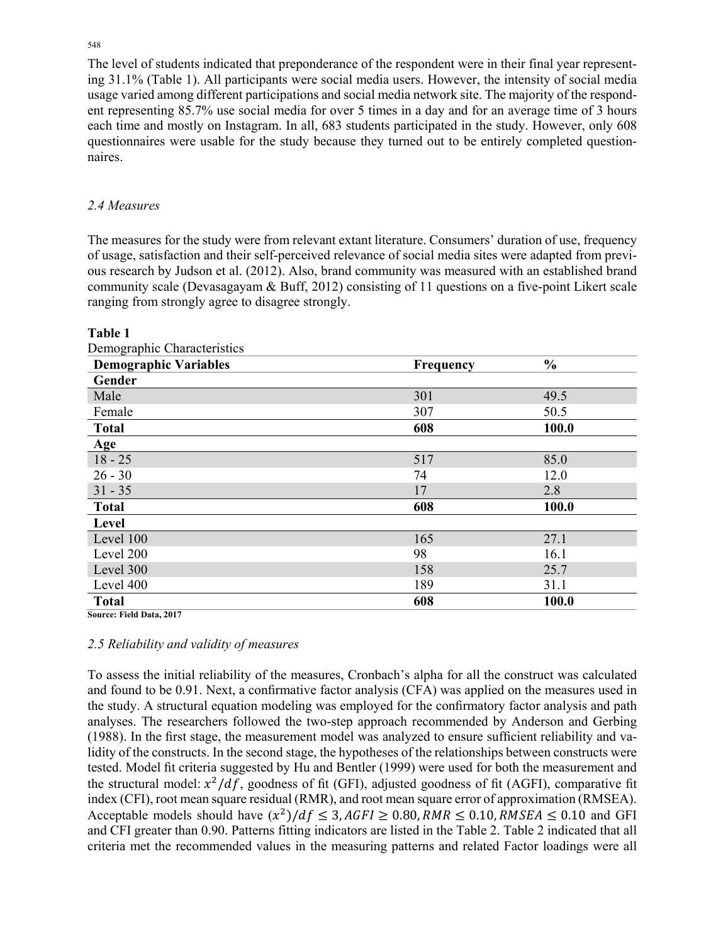The level of students indicated that preponderance of the respondent were in their final year representing 31.1% (Table 1). All participants were social media users. However, the intensity of social media usage varied among different participations and social media network site. The majority of the respondent representing 85.7% use social media for over 5 times in a day and for an average time of 3 hours each time and mostly on Instagram. In all, 683 students participated in the study. However, only 608 questionnaires were usable for the study because they turned out to be entirely completed questionnaires.

#### *2.4 Measures*

The measures for the study were from relevant extant literature. Consumers' duration of use, frequency of usage, satisfaction and their self-perceived relevance of social media sites were adapted from previous research by Judson et al. (2012). Also, brand community was measured with an established brand community scale (Devasagayam & Buff, 2012) consisting of 11 questions on a five-point Likert scale ranging from strongly agree to disagree strongly.

| Demographic Characteristics  |                  |               |
|------------------------------|------------------|---------------|
| <b>Demographic Variables</b> | <b>Frequency</b> | $\frac{0}{0}$ |
| Gender                       |                  |               |
| Male                         | 301              | 49.5          |
| Female                       | 307              | 50.5          |
| <b>Total</b>                 | 608              | 100.0         |
| <b>Age</b>                   |                  |               |
| $18 - 25$                    | 517              | 85.0          |
| $26 - 30$                    | 74               | 12.0          |
| $31 - 35$                    | 17               | 2.8           |
| <b>Total</b>                 | 608              | 100.0         |
| Level                        |                  |               |
| Level 100                    | 165              | 27.1          |
| Level 200                    | 98               | 16.1          |
| Level 300                    | 158              | 25.7          |
| Level 400                    | 189              | 31.1          |
| <b>Total</b>                 | 608              | 100.0         |

**Table 1** 

Demographic Characteristics

**Source: Field Data, 2017** 

#### *2.5 Reliability and validity of measures*

To assess the initial reliability of the measures, Cronbach's alpha for all the construct was calculated and found to be 0.91. Next, a confirmative factor analysis (CFA) was applied on the measures used in the study. A structural equation modeling was employed for the confirmatory factor analysis and path analyses. The researchers followed the two-step approach recommended by Anderson and Gerbing (1988). In the first stage, the measurement model was analyzed to ensure sufficient reliability and validity of the constructs. In the second stage, the hypotheses of the relationships between constructs were tested. Model fit criteria suggested by Hu and Bentler (1999) were used for both the measurement and the structural model:  $x^2/df$ , goodness of fit (GFI), adjusted goodness of fit (AGFI), comparative fit index (CFI), root mean square residual (RMR), and root mean square error of approximation (RMSEA). Acceptable models should have  $(x^2)/df \leq 3$ ,  $AGFI \geq 0.80$ ,  $RMR \leq 0.10$ ,  $RMSEA \leq 0.10$  and GFI and CFI greater than 0.90. Patterns fitting indicators are listed in the Table 2. Table 2 indicated that all criteria met the recommended values in the measuring patterns and related Factor loadings were all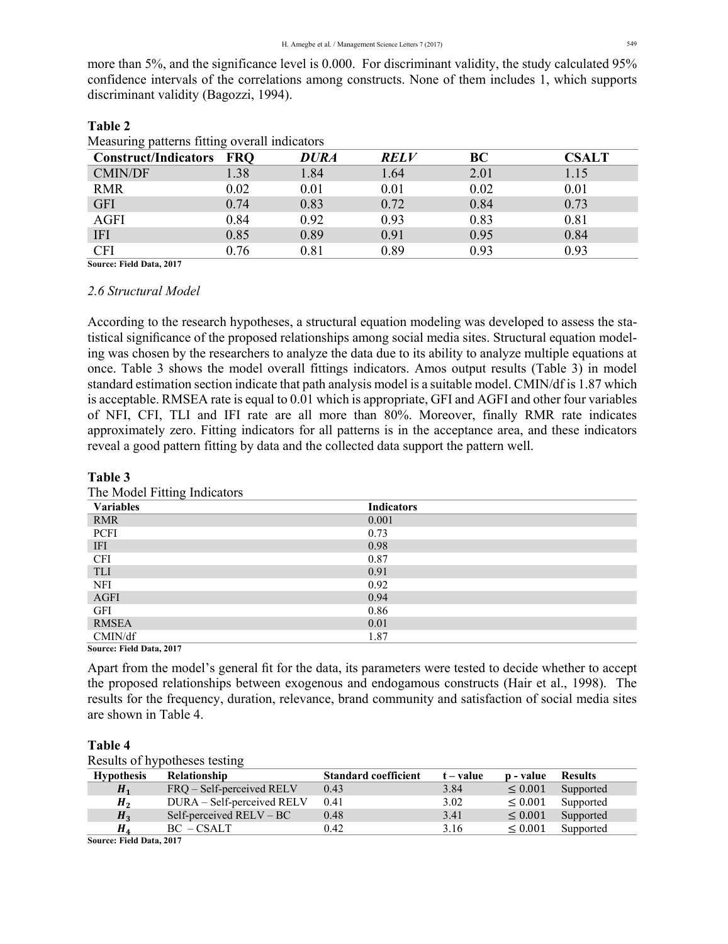more than 5%, and the significance level is 0.000. For discriminant validity, the study calculated 95% confidence intervals of the correlations among constructs. None of them includes 1, which supports discriminant validity (Bagozzi, 1994).

# **Table 2**

| Measuring patterns fitting overall indicators |      |             |             |      |              |
|-----------------------------------------------|------|-------------|-------------|------|--------------|
| <b>Construct/Indicators FRQ</b>               |      | <b>DURA</b> | <b>RELV</b> | BC   | <b>CSALT</b> |
| <b>CMIN/DF</b>                                | 1.38 | 1.84        | 1.64        | 2.01 | 1.15         |
| <b>RMR</b>                                    | 0.02 | 0.01        | 0.01        | 0.02 | 0.01         |
| <b>GFI</b>                                    | 0.74 | 0.83        | 0.72        | 0.84 | 0.73         |
| <b>AGFI</b>                                   | 0.84 | 0.92        | 0.93        | 0.83 | 0.81         |
| <b>IFI</b>                                    | 0.85 | 0.89        | 0.91        | 0.95 | 0.84         |
| <b>CFI</b>                                    | 0.76 | 0.81        | 0.89        | 0.93 | 0.93         |

 $M_{\text{max}}$   $\mu_{\text{max}}$   $\sigma_{\text{mean}}$ ll indicators

**Source: Field Data, 2017** 

#### *2.6 Structural Model*

According to the research hypotheses, a structural equation modeling was developed to assess the statistical significance of the proposed relationships among social media sites. Structural equation modeling was chosen by the researchers to analyze the data due to its ability to analyze multiple equations at once. Table 3 shows the model overall fittings indicators. Amos output results (Table 3) in model standard estimation section indicate that path analysis model is a suitable model. CMIN/df is 1.87 which is acceptable. RMSEA rate is equal to 0.01 which is appropriate, GFI and AGFI and other four variables of NFI, CFI, TLI and IFI rate are all more than 80%. Moreover, finally RMR rate indicates approximately zero. Fitting indicators for all patterns is in the acceptance area, and these indicators reveal a good pattern fitting by data and the collected data support the pattern well.

| The Model Fitting Indicators                               |                   |
|------------------------------------------------------------|-------------------|
| <b>Variables</b>                                           | <b>Indicators</b> |
| <b>RMR</b>                                                 | 0.001             |
| <b>PCFI</b>                                                | 0.73              |
| <b>IFI</b>                                                 | 0.98              |
| <b>CFI</b>                                                 | 0.87              |
| <b>TLI</b>                                                 | 0.91              |
| <b>NFI</b>                                                 | 0.92              |
| AGFI                                                       | 0.94              |
| <b>GFI</b>                                                 | 0.86              |
| <b>RMSEA</b>                                               | 0.01              |
| CMIN/df<br>$\alpha$ and $\alpha$ and $\alpha$ and $\alpha$ | 1.87              |

# **Table 3**

**Source: Field Data, 2017** 

Apart from the model's general fit for the data, its parameters were tested to decide whether to accept the proposed relationships between exogenous and endogamous constructs (Hair et al., 1998). The results for the frequency, duration, relevance, brand community and satisfaction of social media sites are shown in Table 4.

### **Table 4**

Results of hypotheses testing

| <b>Hypothesis</b> | Relationship               | <b>Standard coefficient</b> | $t - value$ | p - value    | <b>Results</b> |
|-------------------|----------------------------|-----------------------------|-------------|--------------|----------------|
| $H_1$             | FRQ – Self-perceived RELV  | 0.43                        | 3.84        | < 0.001      | Supported      |
| H <sub>2</sub>    | DURA – Self-perceived RELV | 0.41                        | 3.02        | $\leq 0.001$ | Supported      |
| H <sub>3</sub>    | Self-perceived $RELV - BC$ | 0.48                        | 3.41        | $\leq 0.001$ | Supported      |
| $H_{\rm A}$       | $BC - CSALT$               | 0.42                        | 3.16        | $\leq 0.001$ | Supported      |

**Source: Field Data, 2017**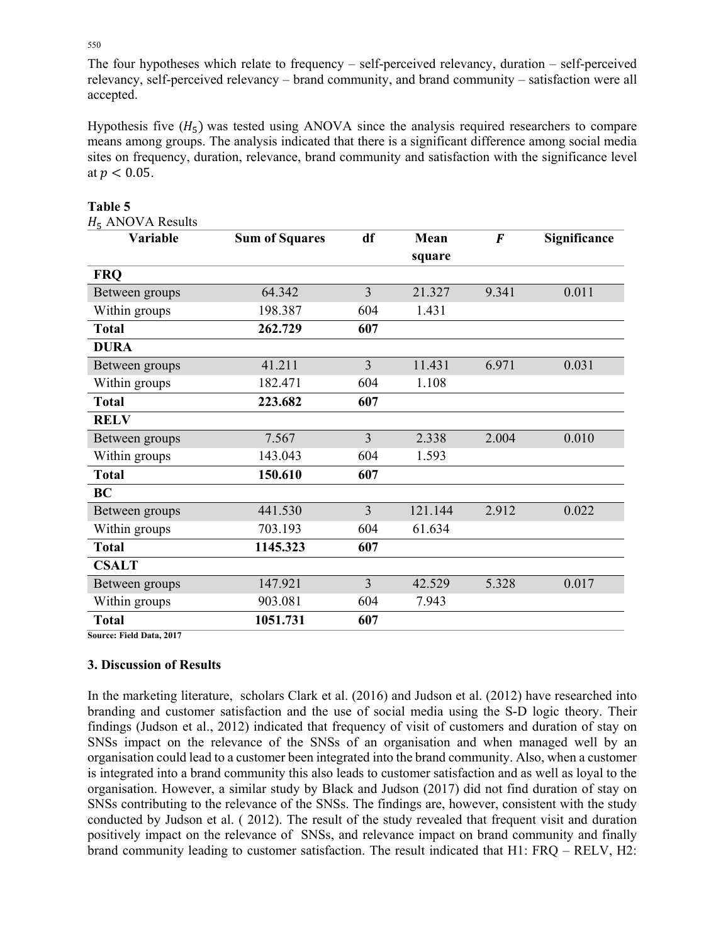The four hypotheses which relate to frequency – self-perceived relevancy, duration – self-perceived relevancy, self-perceived relevancy – brand community, and brand community – satisfaction were all accepted.

Hypothesis five  $(H_5)$  was tested using ANOVA since the analysis required researchers to compare means among groups. The analysis indicated that there is a significant difference among social media sites on frequency, duration, relevance, brand community and satisfaction with the significance level at  $p < 0.05$ .

| Variable       | <b>Sum of Squares</b> | df             | Mean    | F     | Significance |
|----------------|-----------------------|----------------|---------|-------|--------------|
| <b>FRQ</b>     |                       |                | square  |       |              |
|                |                       |                |         |       |              |
| Between groups | 64.342                | $\overline{3}$ | 21.327  | 9.341 | 0.011        |
| Within groups  | 198.387               | 604            | 1.431   |       |              |
| <b>Total</b>   | 262.729               | 607            |         |       |              |
| <b>DURA</b>    |                       |                |         |       |              |
| Between groups | 41.211                | 3              | 11.431  | 6.971 | 0.031        |
| Within groups  | 182.471               | 604            | 1.108   |       |              |
| <b>Total</b>   | 223.682               | 607            |         |       |              |
| <b>RELV</b>    |                       |                |         |       |              |
| Between groups | 7.567                 | $\overline{3}$ | 2.338   | 2.004 | 0.010        |
| Within groups  | 143.043               | 604            | 1.593   |       |              |
| <b>Total</b>   | 150.610               | 607            |         |       |              |
| <b>BC</b>      |                       |                |         |       |              |
| Between groups | 441.530               | 3              | 121.144 | 2.912 | 0.022        |
| Within groups  | 703.193               | 604            | 61.634  |       |              |
| <b>Total</b>   | 1145.323              | 607            |         |       |              |
| <b>CSALT</b>   |                       |                |         |       |              |
| Between groups | 147.921               | $\overline{3}$ | 42.529  | 5.328 | 0.017        |
| Within groups  | 903.081               | 604            | 7.943   |       |              |
| <b>Total</b>   | 1051.731              | 607            |         |       |              |

## **Table 5**

 $H_$  ANOVA Results

**Source: Field Data, 2017** 

# **3. Discussion of Results**

In the marketing literature, scholars Clark et al. (2016) and Judson et al. (2012) have researched into branding and customer satisfaction and the use of social media using the S-D logic theory. Their findings (Judson et al., 2012) indicated that frequency of visit of customers and duration of stay on SNSs impact on the relevance of the SNSs of an organisation and when managed well by an organisation could lead to a customer been integrated into the brand community. Also, when a customer is integrated into a brand community this also leads to customer satisfaction and as well as loyal to the organisation. However, a similar study by Black and Judson (2017) did not find duration of stay on SNSs contributing to the relevance of the SNSs. The findings are, however, consistent with the study conducted by Judson et al. ( 2012). The result of the study revealed that frequent visit and duration positively impact on the relevance of SNSs, and relevance impact on brand community and finally brand community leading to customer satisfaction. The result indicated that H1: FRQ – RELV, H2: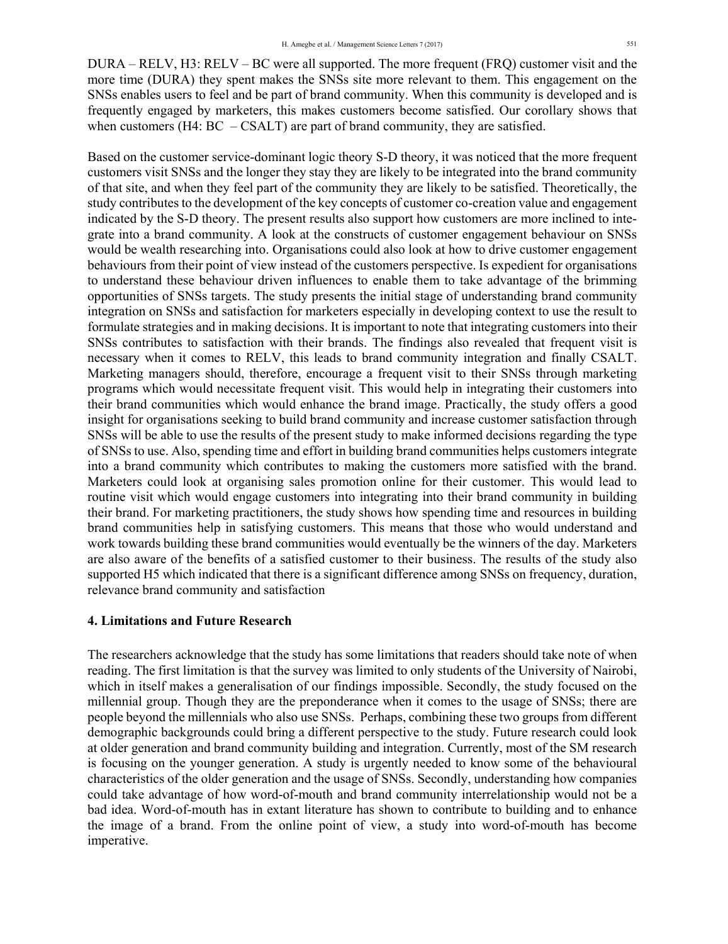DURA – RELV, H3: RELV – BC were all supported. The more frequent (FRQ) customer visit and the more time (DURA) they spent makes the SNSs site more relevant to them. This engagement on the SNSs enables users to feel and be part of brand community. When this community is developed and is frequently engaged by marketers, this makes customers become satisfied. Our corollary shows that when customers ( $H4$ :  $BC - CSALT$ ) are part of brand community, they are satisfied.

Based on the customer service-dominant logic theory S-D theory, it was noticed that the more frequent customers visit SNSs and the longer they stay they are likely to be integrated into the brand community of that site, and when they feel part of the community they are likely to be satisfied. Theoretically, the study contributes to the development of the key concepts of customer co-creation value and engagement indicated by the S-D theory. The present results also support how customers are more inclined to integrate into a brand community. A look at the constructs of customer engagement behaviour on SNSs would be wealth researching into. Organisations could also look at how to drive customer engagement behaviours from their point of view instead of the customers perspective. Is expedient for organisations to understand these behaviour driven influences to enable them to take advantage of the brimming opportunities of SNSs targets. The study presents the initial stage of understanding brand community integration on SNSs and satisfaction for marketers especially in developing context to use the result to formulate strategies and in making decisions. It is important to note that integrating customers into their SNSs contributes to satisfaction with their brands. The findings also revealed that frequent visit is necessary when it comes to RELV, this leads to brand community integration and finally CSALT. Marketing managers should, therefore, encourage a frequent visit to their SNSs through marketing programs which would necessitate frequent visit. This would help in integrating their customers into their brand communities which would enhance the brand image. Practically, the study offers a good insight for organisations seeking to build brand community and increase customer satisfaction through SNSs will be able to use the results of the present study to make informed decisions regarding the type of SNSs to use. Also, spending time and effort in building brand communities helps customers integrate into a brand community which contributes to making the customers more satisfied with the brand. Marketers could look at organising sales promotion online for their customer. This would lead to routine visit which would engage customers into integrating into their brand community in building their brand. For marketing practitioners, the study shows how spending time and resources in building brand communities help in satisfying customers. This means that those who would understand and work towards building these brand communities would eventually be the winners of the day. Marketers are also aware of the benefits of a satisfied customer to their business. The results of the study also supported H5 which indicated that there is a significant difference among SNSs on frequency, duration, relevance brand community and satisfaction

### **4. Limitations and Future Research**

The researchers acknowledge that the study has some limitations that readers should take note of when reading. The first limitation is that the survey was limited to only students of the University of Nairobi, which in itself makes a generalisation of our findings impossible. Secondly, the study focused on the millennial group. Though they are the preponderance when it comes to the usage of SNSs; there are people beyond the millennials who also use SNSs. Perhaps, combining these two groups from different demographic backgrounds could bring a different perspective to the study. Future research could look at older generation and brand community building and integration. Currently, most of the SM research is focusing on the younger generation. A study is urgently needed to know some of the behavioural characteristics of the older generation and the usage of SNSs. Secondly, understanding how companies could take advantage of how word-of-mouth and brand community interrelationship would not be a bad idea. Word-of-mouth has in extant literature has shown to contribute to building and to enhance the image of a brand. From the online point of view, a study into word-of-mouth has become imperative.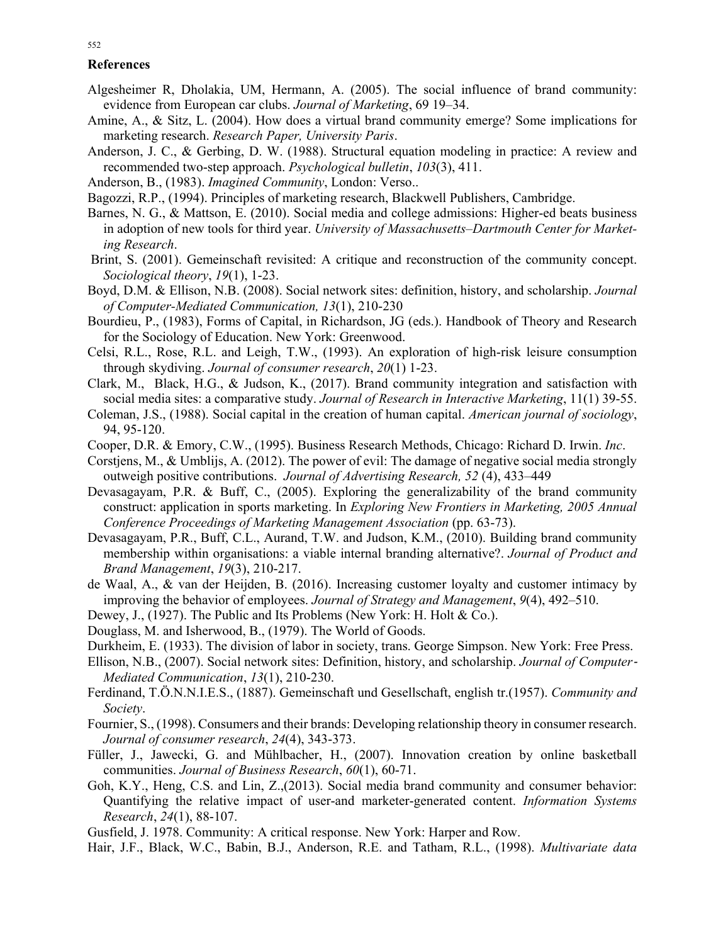#### **References**

- Algesheimer R, Dholakia, UM, Hermann, A. (2005). The social influence of brand community: evidence from European car clubs. *Journal of Marketing*, 69 19–34.
- Amine, A., & Sitz, L. (2004). How does a virtual brand community emerge? Some implications for marketing research. *Research Paper, University Paris*.
- Anderson, J. C., & Gerbing, D. W. (1988). Structural equation modeling in practice: A review and recommended two-step approach. *Psychological bulletin*, *103*(3), 411.
- Anderson, B., (1983). *Imagined Community*, London: Verso..
- Bagozzi, R.P., (1994). Principles of marketing research, Blackwell Publishers, Cambridge.
- Barnes, N. G., & Mattson, E. (2010). Social media and college admissions: Higher-ed beats business in adoption of new tools for third year. *University of Massachusetts–Dartmouth Center for Marketing Research*.
- Brint, S. (2001). Gemeinschaft revisited: A critique and reconstruction of the community concept. *Sociological theory*, *19*(1), 1-23.
- Boyd, D.M. & Ellison, N.B. (2008). Social network sites: definition, history, and scholarship. *Journal of Computer-Mediated Communication, 13*(1), 210-230
- Bourdieu, P., (1983), Forms of Capital, in Richardson, JG (eds.). Handbook of Theory and Research for the Sociology of Education. New York: Greenwood.
- Celsi, R.L., Rose, R.L. and Leigh, T.W., (1993). An exploration of high-risk leisure consumption through skydiving. *Journal of consumer research*, *20*(1) 1-23.
- Clark, M., Black, H.G., & Judson, K., (2017). Brand community integration and satisfaction with social media sites: a comparative study. *Journal of Research in Interactive Marketing*, 11(1) 39-55.
- Coleman, J.S., (1988). Social capital in the creation of human capital. *American journal of sociology*, 94, 95-120.
- Cooper, D.R. & Emory, C.W., (1995). Business Research Methods, Chicago: Richard D. Irwin. *Inc*.
- Corstjens, M., & Umblijs, A. (2012). The power of evil: The damage of negative social media strongly outweigh positive contributions. *Journal of Advertising Research, 52* (4), 433–449
- Devasagayam, P.R. & Buff, C., (2005). Exploring the generalizability of the brand community construct: application in sports marketing. In *Exploring New Frontiers in Marketing, 2005 Annual Conference Proceedings of Marketing Management Association* (pp. 63-73).
- Devasagayam, P.R., Buff, C.L., Aurand, T.W. and Judson, K.M., (2010). Building brand community membership within organisations: a viable internal branding alternative?. *Journal of Product and Brand Management*, *19*(3), 210-217.
- de Waal, A., & van der Heijden, B. (2016). Increasing customer loyalty and customer intimacy by improving the behavior of employees. *Journal of Strategy and Management*, *9*(4), 492–510.
- Dewey, J., (1927). The Public and Its Problems (New York: H. Holt & Co.).
- Douglass, M. and Isherwood, B., (1979). The World of Goods.
- Durkheim, E. (1933). The division of labor in society, trans. George Simpson. New York: Free Press.
- Ellison, N.B., (2007). Social network sites: Definition, history, and scholarship. *Journal of Computer*‐ *Mediated Communication*, *13*(1), 210-230.
- Ferdinand, T.Ö.N.N.I.E.S., (1887). Gemeinschaft und Gesellschaft, english tr.(1957). *Community and Society*.
- Fournier, S., (1998). Consumers and their brands: Developing relationship theory in consumer research. *Journal of consumer research*, *24*(4), 343-373.
- Füller, J., Jawecki, G. and Mühlbacher, H., (2007). Innovation creation by online basketball communities. *Journal of Business Research*, *60*(1), 60-71.
- Goh, K.Y., Heng, C.S. and Lin, Z.,(2013). Social media brand community and consumer behavior: Quantifying the relative impact of user-and marketer-generated content. *Information Systems Research*, *24*(1), 88-107.
- Gusfield, J. 1978. Community: A critical response. New York: Harper and Row.
- Hair, J.F., Black, W.C., Babin, B.J., Anderson, R.E. and Tatham, R.L., (1998). *Multivariate data*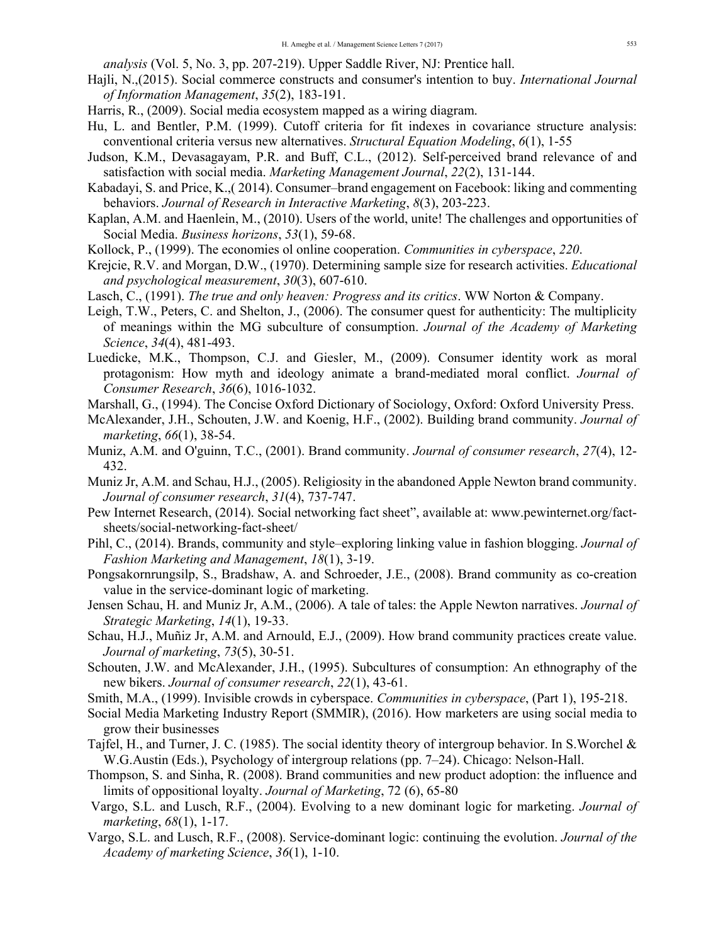*analysis* (Vol. 5, No. 3, pp. 207-219). Upper Saddle River, NJ: Prentice hall.

- Hajli, N.,(2015). Social commerce constructs and consumer's intention to buy. *International Journal of Information Management*, *35*(2), 183-191.
- Harris, R., (2009). Social media ecosystem mapped as a wiring diagram.
- Hu, L. and Bentler, P.M. (1999). Cutoff criteria for fit indexes in covariance structure analysis: conventional criteria versus new alternatives. *Structural Equation Modeling*, *6*(1), 1-55
- Judson, K.M., Devasagayam, P.R. and Buff, C.L., (2012). Self-perceived brand relevance of and satisfaction with social media. *Marketing Management Journal*, *22*(2), 131-144.
- Kabadayi, S. and Price, K.,( 2014). Consumer–brand engagement on Facebook: liking and commenting behaviors. *Journal of Research in Interactive Marketing*, *8*(3), 203-223.
- Kaplan, A.M. and Haenlein, M., (2010). Users of the world, unite! The challenges and opportunities of Social Media. *Business horizons*, *53*(1), 59-68.
- Kollock, P., (1999). The economies ol online cooperation. *Communities in cyberspace*, *220*.
- Krejcie, R.V. and Morgan, D.W., (1970). Determining sample size for research activities. *Educational and psychological measurement*, *30*(3), 607-610.
- Lasch, C., (1991). *The true and only heaven: Progress and its critics*. WW Norton & Company.
- Leigh, T.W., Peters, C. and Shelton, J., (2006). The consumer quest for authenticity: The multiplicity of meanings within the MG subculture of consumption. *Journal of the Academy of Marketing Science*, *34*(4), 481-493.
- Luedicke, M.K., Thompson, C.J. and Giesler, M., (2009). Consumer identity work as moral protagonism: How myth and ideology animate a brand-mediated moral conflict. *Journal of Consumer Research*, *36*(6), 1016-1032.
- Marshall, G., (1994). The Concise Oxford Dictionary of Sociology, Oxford: Oxford University Press.
- McAlexander, J.H., Schouten, J.W. and Koenig, H.F., (2002). Building brand community. *Journal of marketing*, *66*(1), 38-54.
- Muniz, A.M. and O'guinn, T.C., (2001). Brand community. *Journal of consumer research*, *27*(4), 12- 432.
- Muniz Jr, A.M. and Schau, H.J., (2005). Religiosity in the abandoned Apple Newton brand community. *Journal of consumer research*, *31*(4), 737-747.
- Pew Internet Research, (2014). Social networking fact sheet", available at: www.pewinternet.org/factsheets/social-networking-fact-sheet/
- Pihl, C., (2014). Brands, community and style–exploring linking value in fashion blogging. *Journal of Fashion Marketing and Management*, *18*(1), 3-19.
- Pongsakornrungsilp, S., Bradshaw, A. and Schroeder, J.E., (2008). Brand community as co-creation value in the service-dominant logic of marketing.
- Jensen Schau, H. and Muniz Jr, A.M., (2006). A tale of tales: the Apple Newton narratives. *Journal of Strategic Marketing*, *14*(1), 19-33.
- Schau, H.J., Muñiz Jr, A.M. and Arnould, E.J., (2009). How brand community practices create value. *Journal of marketing*, *73*(5), 30-51.
- Schouten, J.W. and McAlexander, J.H., (1995). Subcultures of consumption: An ethnography of the new bikers. *Journal of consumer research*, *22*(1), 43-61.
- Smith, M.A., (1999). Invisible crowds in cyberspace. *Communities in cyberspace*, (Part 1), 195-218.
- Social Media Marketing Industry Report (SMMIR), (2016). How marketers are using social media to grow their businesses
- Tajfel, H., and Turner, J. C. (1985). The social identity theory of intergroup behavior. In S. Worchel  $\&$ W.G.Austin (Eds.), Psychology of intergroup relations (pp. 7–24). Chicago: Nelson-Hall.
- Thompson, S. and Sinha, R. (2008). Brand communities and new product adoption: the influence and limits of oppositional loyalty. *Journal of Marketing*, 72 (6), 65-80
- Vargo, S.L. and Lusch, R.F., (2004). Evolving to a new dominant logic for marketing. *Journal of marketing*, *68*(1), 1-17.
- Vargo, S.L. and Lusch, R.F., (2008). Service-dominant logic: continuing the evolution. *Journal of the Academy of marketing Science*, *36*(1), 1-10.